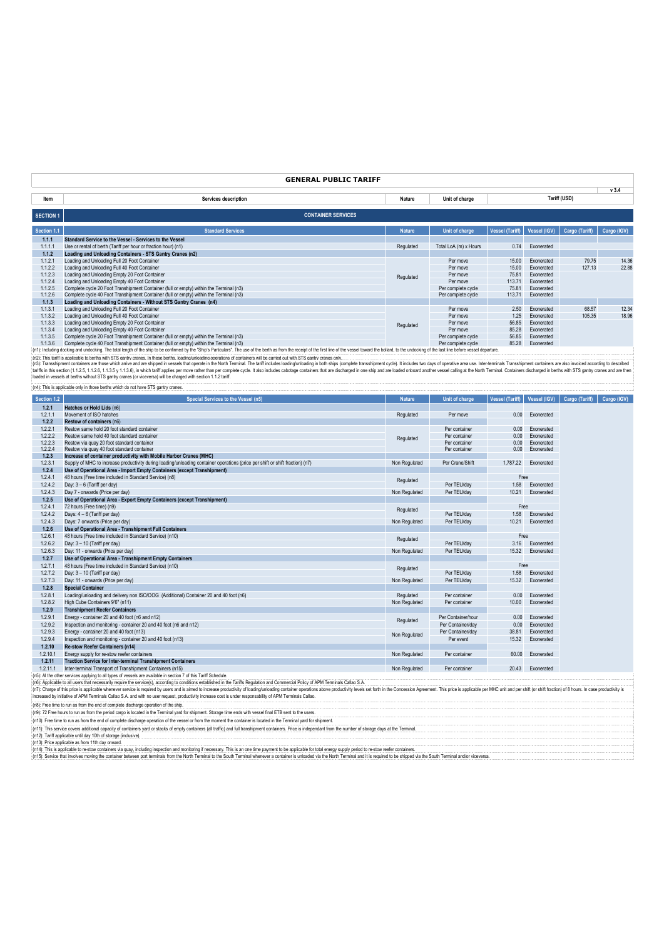|                    | <b>GENERAL PUBLIC TARIFF</b>                                                                                                                                                                                                                                                                                                                                                                                                                                                                                                                                                                                                                                                  |               |                                          |                        |                          |                 |                |  |
|--------------------|-------------------------------------------------------------------------------------------------------------------------------------------------------------------------------------------------------------------------------------------------------------------------------------------------------------------------------------------------------------------------------------------------------------------------------------------------------------------------------------------------------------------------------------------------------------------------------------------------------------------------------------------------------------------------------|---------------|------------------------------------------|------------------------|--------------------------|-----------------|----------------|--|
| Item               | Services description                                                                                                                                                                                                                                                                                                                                                                                                                                                                                                                                                                                                                                                          | Nature        | Unit of charge                           |                        |                          | Tariff (USD)    | v3.4           |  |
| <b>SECTION 1</b>   | <b>CONTAINER SERVICES</b>                                                                                                                                                                                                                                                                                                                                                                                                                                                                                                                                                                                                                                                     |               |                                          |                        |                          |                 |                |  |
| Section 1.1        | <b>Standard Services</b>                                                                                                                                                                                                                                                                                                                                                                                                                                                                                                                                                                                                                                                      | <b>Nature</b> | Unit of charge                           | <b>Vessel (Tariff)</b> | Vessel (IGV)             | Cargo (Tariff)  | Cargo (IGV)    |  |
| 1.1.1              | Standard Service to the Vessel - Services to the Vessel                                                                                                                                                                                                                                                                                                                                                                                                                                                                                                                                                                                                                       |               |                                          |                        |                          |                 |                |  |
| 1.1.1.1            | Use or rental of berth (Tariff per hour or fraction hour) (n1)                                                                                                                                                                                                                                                                                                                                                                                                                                                                                                                                                                                                                | Regulated     | Total LoA (m) x Hours                    | 0.74                   | Exonerated               |                 |                |  |
| 1.1.2              | Loading and Unloading Containers - STS Gantry Cranes (n2)                                                                                                                                                                                                                                                                                                                                                                                                                                                                                                                                                                                                                     |               |                                          |                        |                          |                 |                |  |
| 1.1.2.1<br>1.1.2.2 | Loading and Unloading Full 20 Foot Container<br>Loading and Unloading Full 40 Foot Container                                                                                                                                                                                                                                                                                                                                                                                                                                                                                                                                                                                  |               | Per move<br>Per move                     | 15.00<br>15.00         | Exonerated<br>Exonerated | 79.75<br>127.13 | 14.36<br>22.88 |  |
| 1.1.2.3            | Loading and Unloading Empty 20 Foot Container                                                                                                                                                                                                                                                                                                                                                                                                                                                                                                                                                                                                                                 |               | Per move                                 | 75.81                  | Exonerated               |                 |                |  |
| 1.1.2.4            | Loading and Unloading Empty 40 Foot Container                                                                                                                                                                                                                                                                                                                                                                                                                                                                                                                                                                                                                                 | Regulated     | Per move                                 | 113.71                 | Exonerated               |                 |                |  |
| 1.1.2.5            | Complete cycle 20 Foot Transhipment Container (full or empty) within the Terminal (n3)                                                                                                                                                                                                                                                                                                                                                                                                                                                                                                                                                                                        |               | Per complete cycle                       | 75.81                  | Exonerated               |                 |                |  |
| 1.1.2.6            | Complete cycle 40 Foot Transhipment Container (full or empty) within the Terminal (n3)                                                                                                                                                                                                                                                                                                                                                                                                                                                                                                                                                                                        |               | Per complete cycle                       | 113.71                 | Exonerated               |                 |                |  |
| 1.1.3<br>1.1.3.1   | Loading and Unloading Containers - Without STS Gantry Cranes (n4)<br>Loading and Unloading Full 20 Foot Container                                                                                                                                                                                                                                                                                                                                                                                                                                                                                                                                                             |               | Per move                                 | 2.50                   | Exonerated               | 68.57           | 12.34          |  |
| 1.1.3.2            | Loading and Unloading Full 40 Foot Container                                                                                                                                                                                                                                                                                                                                                                                                                                                                                                                                                                                                                                  |               | Per move                                 | 1.25                   | Exonerated               | 105.35          | 18.96          |  |
| 1.1.3.3            | Loading and Unloading Empty 20 Foot Container                                                                                                                                                                                                                                                                                                                                                                                                                                                                                                                                                                                                                                 | Regulated     | Per move                                 | 56.85                  | Exonerated               |                 |                |  |
| 1.1.3.4            | Loading and Unloading Empty 40 Foot Container                                                                                                                                                                                                                                                                                                                                                                                                                                                                                                                                                                                                                                 |               | Per move                                 | 85.28                  | Exonerated               |                 |                |  |
| 1.1.3.5<br>1.1.3.6 | Complete cycle 20 Foot Transhipment Container (full or empty) within the Terminal (n3)<br>Complete cycle 40 Foot Transhipment Container (full or empty) within the Terminal (n3)                                                                                                                                                                                                                                                                                                                                                                                                                                                                                              |               | Per complete cycle<br>Per complete cycle | 56.85<br>85.28         | Exonerated<br>Exonerated |                 |                |  |
|                    | (n1): Including docking and undocking. The total length of the ship to be confirmed by the "Ship's Particulars". The use of the berth as from the receipt of the first line of the vessel toward the bollard, to the undocking                                                                                                                                                                                                                                                                                                                                                                                                                                                |               |                                          |                        |                          |                 |                |  |
|                    | tariffs in this section (1.1.2.5, 1.1.2.6, 1.1.3.6, 1.1.3.6), in which tariff applies per move rather than per complete cycle. It also includes cabotage containers that are discharged in one ship and are loaded onboard ano<br>loaded in vessels at berths without STS gantry cranes (or viceversa) will be charged with section 1.1.2 tariff.<br>(n4): This is applicable only in those berths which do not have STS gantry cranes.                                                                                                                                                                                                                                       |               |                                          |                        |                          |                 |                |  |
| Section 1.2        | Special Services to the Vessel (n5)                                                                                                                                                                                                                                                                                                                                                                                                                                                                                                                                                                                                                                           | <b>Nature</b> | Unit of charge                           | <b>Vessel (Tariff)</b> | <b>Vessel (IGV)</b>      | Cargo (Tariff)  | Cargo (IGV)    |  |
| 1.2.1              | Hatches or Hold Lids (n6)                                                                                                                                                                                                                                                                                                                                                                                                                                                                                                                                                                                                                                                     |               |                                          |                        |                          |                 |                |  |
| 1.2.1.1<br>1.2.2   | Movement of ISO hatches<br>Restow of containers (n6)                                                                                                                                                                                                                                                                                                                                                                                                                                                                                                                                                                                                                          | Regulated     | Per move                                 | 0.00                   | Exonerated               |                 |                |  |
| 1.2.2.1            | Restow same hold 20 foot standard container                                                                                                                                                                                                                                                                                                                                                                                                                                                                                                                                                                                                                                   |               | Per container                            | 0.00                   | Exonerated               |                 |                |  |
| 1.2.2.2            | Restow same hold 40 foot standard container                                                                                                                                                                                                                                                                                                                                                                                                                                                                                                                                                                                                                                   |               | Per container                            | 0.00                   | Exonerated               |                 |                |  |
| 1.2.2.3            | Restow via quay 20 foot standard container                                                                                                                                                                                                                                                                                                                                                                                                                                                                                                                                                                                                                                    | Regulated     | Per container                            | 0.00                   | Exonerated               |                 |                |  |
| 1.2.2.4            | Restow via quay 40 foot standard container                                                                                                                                                                                                                                                                                                                                                                                                                                                                                                                                                                                                                                    |               | Per container                            | 0.00                   | Exonerated               |                 |                |  |
| 1.2.3<br>1.2.3.1   | Increase of container productivity with Mobile Harbor Cranes (MHC)<br>Supply of MHC to increase productivity during loading/unloading container operations (price per shift or shift fraction) (n7)                                                                                                                                                                                                                                                                                                                                                                                                                                                                           | Non Regulated | Per Crane/Shift                          | 1,787.22               | Exonerated               |                 |                |  |
| 1.2.4              | Use of Operational Area - Import Empty Containers (except Transhipment)                                                                                                                                                                                                                                                                                                                                                                                                                                                                                                                                                                                                       |               |                                          |                        |                          |                 |                |  |
| 1.2.4.1            | 48 hours (Free time included in Standard Service) (n8)                                                                                                                                                                                                                                                                                                                                                                                                                                                                                                                                                                                                                        |               |                                          | Free                   |                          |                 |                |  |
| 1.2.4.2            | Day: 3 - 6 (Tariff per day)                                                                                                                                                                                                                                                                                                                                                                                                                                                                                                                                                                                                                                                   | Regulated     | Per TEU/day                              | 1.58                   | Exonerated               |                 |                |  |
| 1.2.4.3            | Day 7 - onwards (Price per day)                                                                                                                                                                                                                                                                                                                                                                                                                                                                                                                                                                                                                                               | Non Regulated | Per TEU/day                              | 10.21                  | Exonerated               |                 |                |  |
| 1.2.5              | Use of Operational Area - Export Empty Containers (except Transhipment)                                                                                                                                                                                                                                                                                                                                                                                                                                                                                                                                                                                                       |               |                                          |                        |                          |                 |                |  |
| 1.2.4.1<br>1.2.4.2 | 72 hours (Free time) (n9)<br>Days: $4-6$ (Tariff per day)                                                                                                                                                                                                                                                                                                                                                                                                                                                                                                                                                                                                                     | Regulated     | Per TEU/day                              | Free<br>1.58           | Exonerated               |                 |                |  |
| 1.2.4.3            | Days: 7 onwards (Price per day)                                                                                                                                                                                                                                                                                                                                                                                                                                                                                                                                                                                                                                               | Non Regulated | Per TEU/day                              | 10.21                  | Exonerated               |                 |                |  |
| 1.2.6              | Use of Operational Area - Transhipment Full Containers                                                                                                                                                                                                                                                                                                                                                                                                                                                                                                                                                                                                                        |               |                                          |                        |                          |                 |                |  |
| 1.2.6.1            | 48 hours (Free time included in Standard Service) (n10)                                                                                                                                                                                                                                                                                                                                                                                                                                                                                                                                                                                                                       | Regulated     |                                          | Free                   |                          |                 |                |  |
| 1.2.6.2            | Day: 3 - 10 (Tariff per day)                                                                                                                                                                                                                                                                                                                                                                                                                                                                                                                                                                                                                                                  |               | Per TEU/day                              | 3.16                   | Exonerated               |                 |                |  |
| 1.2.6.3            | Day: 11 - onwards (Price per day)                                                                                                                                                                                                                                                                                                                                                                                                                                                                                                                                                                                                                                             | Non Regulated | Per TEU/day                              | 15.32                  | Exonerated               |                 |                |  |
| 1.2.7              | Use of Operational Area - Transhipment Empty Containers                                                                                                                                                                                                                                                                                                                                                                                                                                                                                                                                                                                                                       |               |                                          | Free                   |                          |                 |                |  |
| 1.2.7.1<br>1.2.7.2 | 48 hours (Free time included in Standard Service) (n10)<br>Day: 3 - 10 (Tariff per day)                                                                                                                                                                                                                                                                                                                                                                                                                                                                                                                                                                                       | Regulated     | Per TEU/day                              | 1.58                   | Exonerated               |                 |                |  |
| 1.2.7.3            | Day: 11 - onwards (Price per day)                                                                                                                                                                                                                                                                                                                                                                                                                                                                                                                                                                                                                                             | Non Regulated | Per TEU/day                              | 15.32                  | Exonerated               |                 |                |  |
| 1.2.8              | <b>Special Container</b>                                                                                                                                                                                                                                                                                                                                                                                                                                                                                                                                                                                                                                                      |               |                                          |                        |                          |                 |                |  |
| 1.2.8.1            | Loading/unloading and delivery non ISO/OOG (Additional) Container 20 and 40 foot (n6)                                                                                                                                                                                                                                                                                                                                                                                                                                                                                                                                                                                         | Regulated     | Per container                            | 0.00                   | Exonerated               |                 |                |  |
| 1.2.8.2            | High Cube Containers 9'6" (n11)                                                                                                                                                                                                                                                                                                                                                                                                                                                                                                                                                                                                                                               | Non Regulated | Per container                            | 10.00                  | Exonerated               |                 |                |  |
| 1.2.9              | <b>Transhipment Reefer Containers</b>                                                                                                                                                                                                                                                                                                                                                                                                                                                                                                                                                                                                                                         |               |                                          |                        |                          |                 |                |  |
| 1.2.9.1<br>1.2.9.2 | Energy - container 20 and 40 foot (n6 and n12)<br>Inspection and monitoring - container 20 and 40 foot (n6 and n12)                                                                                                                                                                                                                                                                                                                                                                                                                                                                                                                                                           | Regulated     | Per Container/hour<br>Per Container/dav  | 0.00<br>0.00           | Exonerated<br>Exonerated |                 |                |  |
| 1.2.9.3            | Energy - container 20 and 40 foot (n13)                                                                                                                                                                                                                                                                                                                                                                                                                                                                                                                                                                                                                                       |               | Per Container/day                        | 38.81                  | Exonerated               |                 |                |  |
| 1.2.9.4            | Inspection and monitoring - container 20 and 40 foot (n13)                                                                                                                                                                                                                                                                                                                                                                                                                                                                                                                                                                                                                    | Non Regulated | Per event                                | 15.32                  | Exonerated               |                 |                |  |
| 1.2.10             | <b>Re-stow Reefer Containers (n14)</b>                                                                                                                                                                                                                                                                                                                                                                                                                                                                                                                                                                                                                                        |               |                                          |                        |                          |                 |                |  |
| 1.2.10.1           | Energy supply for re-stow reefer containers                                                                                                                                                                                                                                                                                                                                                                                                                                                                                                                                                                                                                                   | Non Regulated | Per container                            | 60.00                  | Exonerated               |                 |                |  |
| 1.2.11             | <b>Traction Service for Inter-terminal Transhipment Containers</b>                                                                                                                                                                                                                                                                                                                                                                                                                                                                                                                                                                                                            |               |                                          |                        |                          |                 |                |  |
|                    | 1.2.11.1 Inter-terminal Transport of Transhipment Containers (n15)<br>(n5): Al the other services applying to all types of vessels are available in section 7 of this Tariff Schedule.                                                                                                                                                                                                                                                                                                                                                                                                                                                                                        | Non Regulated | Per container                            |                        | 20.43 Exonerated         |                 |                |  |
|                    | (n6): Applicable to all users that necessarily require the service(s), according to conditions established in the Tariffs Regulation and Commercial Policy of APM Terminals Callao S.A<br>(n7): Charge of this price is applicable whenever service is required by users and is aimed to increase productivity of loading/unloading container operations above productivity levels set forth in the Concession Agreement<br>increased by initiative of APM Terminals Callao S.A. and with no user request, productivity increase cost is under responsability of APM Terminals Callao.<br>(n8): Free time to run as from the end of complete discharge operation of the ship. |               |                                          |                        |                          |                 |                |  |
|                    | (n9): 72 Free hours to run as from the period cargo is located in the Terminal yard for shipment. Storage time ends with vessel final ETB sent to the users.                                                                                                                                                                                                                                                                                                                                                                                                                                                                                                                  |               |                                          |                        |                          |                 |                |  |
|                    | (n10): Free time to run as from the end of complete discharge operation of the vessel or from the moment the container is located in the Terminal yard for shipment.                                                                                                                                                                                                                                                                                                                                                                                                                                                                                                          |               |                                          |                        |                          |                 |                |  |
|                    | (n11): This service covers additional capacity of containers yard or stacks of empty containers (all traffic) and full transhipment containers. Price is independant from the number of storage days at the Terminal<br>(n12): Tariff applicable until day 10th of storage (inclusive).                                                                                                                                                                                                                                                                                                                                                                                       |               |                                          |                        |                          |                 |                |  |
|                    | (n13): Price applicable as from 11th day onward.                                                                                                                                                                                                                                                                                                                                                                                                                                                                                                                                                                                                                              |               |                                          |                        |                          |                 |                |  |
|                    | (n14): This is applicable to re-stow containers via quay, including inspection and monitoring if necessary. This is an one time payment to be applicable for total energy supply period to re-stow reefer container                                                                                                                                                                                                                                                                                                                                                                                                                                                           |               |                                          |                        |                          |                 |                |  |

(n14). This is appicable to re-stow containers via guay, including inspection and monitoring if recessary. This is an one time payment to be applicable for total energy supply period to respute the South Teminal and it is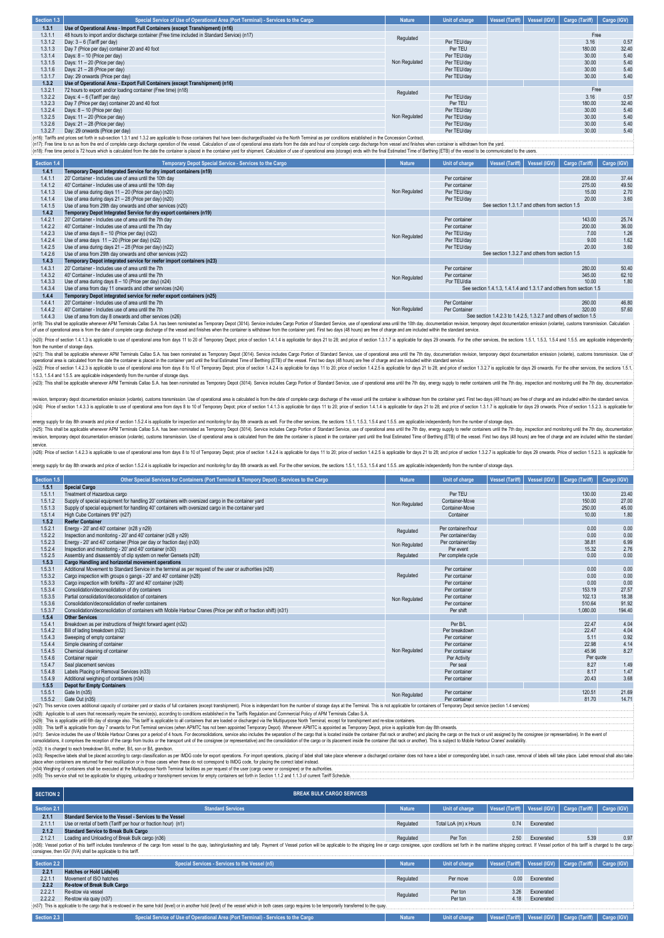| Section 1.3 | Special Service of Use of Operational Area (Port Terminal) - Services to the Cargo           | <b>Nature</b> | Unit of charge | Vessel (Tariff) | Vessel (IGV) | Cargo (Tariff) | Cargo (IGV) |
|-------------|----------------------------------------------------------------------------------------------|---------------|----------------|-----------------|--------------|----------------|-------------|
| 1.3.1       | Use of Operational Area - Import Full Containers (except Transhipment) (n16)                 |               |                |                 |              |                |             |
| 1.3.1.1     | 48 hours to import and/or discharge container (Free time included in Standard Service) (n17) | Regulated     |                |                 |              | Free           |             |
| 1.3.1.2     | Day: 3 - 6 (Tariff per day)                                                                  |               | Per TEU/dav    |                 |              | 3.16           | 0.57        |
| 1.3.1.3     | Day 7 (Price per day) container 20 and 40 foot                                               |               | Per TEU        |                 |              | 180.00         | 32.40       |
| 1.3.1.4     | Days: 8 - 10 (Price per day)                                                                 |               | Per TEU/dav    |                 |              | 30.00          | 5.40        |
| 1.3.1.5     | Days: 11 - 20 (Price per day)                                                                | Non Regulated | Per TEU/dav    |                 |              | 30.00          | 5.40        |
| 1.3.1.6     | Days: 21 - 28 (Price per day)                                                                |               | Per TEU/dav    |                 |              | 30.00          | 5.40        |
| 1.3.1.7     | Day: 29 onwards (Price per day)                                                              |               | Per TEU/dav    |                 |              | 30.00          | 5.40        |
| 1.3.2       | Use of Operational Area - Export Full Containers (except Transhipment) (n16)                 |               |                |                 |              |                |             |
| 1.3.2.1     | 72 hours to export and/or loading container (Free time) (n18)                                | Regulated     |                |                 |              | Free           |             |
| 1.3.2.2     | Days: $4 - 6$ (Tariff per day)                                                               |               | Per TEU/dav    |                 |              | 3.16           | 0.57        |
| 1.3.2.3     | Day 7 (Price per day) container 20 and 40 foot                                               |               | Per TEU        |                 |              | 180.00         | 32.40       |
| 1.3.2.4     | Days: 8 - 10 (Price per day)                                                                 |               | Per TEU/dav    |                 |              | 30.00          | 5.40        |
| 1.3.2.5     | Days: 11 - 20 (Price per day)                                                                | Non Regulated | Per TEU/dav    |                 |              | 30.00          | 5.40        |
| 1.3.2.6     | Days: 21 - 28 (Price per day)                                                                |               | Per TEU/dav    |                 |              | 30.00          | 5.40        |
| 1.3.2.7     | Day: 29 onwards (Price per day)                                                              |               | Per TFU/day    |                 |              | 30.00          | 5.40        |

1.3.2.7 Day: 29 onwards (Price per day) 30.00 5.40<br>(n15): Tarifis and prices set forth in sub-section 1.3.1 and 1.3.2 are applicable to those containers that have been discharged/loaded via the North Terminal as per condit

| Section 1.4 | Temporary Depot Special Service - Services to the Cargo               | <b>Nature</b> | Unit of charge | <b>Vessel (Tariff)</b>                                 | Vessel (IGV) | Cargo (Tariff)                                                       | Cargo (IGV) |
|-------------|-----------------------------------------------------------------------|---------------|----------------|--------------------------------------------------------|--------------|----------------------------------------------------------------------|-------------|
| 1.4.1       | Temporary Depot Integrated Service for dry import containers (n19)    |               |                |                                                        |              |                                                                      |             |
| 1.4.1.1     | 20' Container - Includes use of area until the 10th day               |               | Per container  |                                                        |              | 208.00                                                               | 37.44       |
| 1.4.1.2     | 40' Container - Includes use of area until the 10th day               |               | Per container  |                                                        |              | 275.00                                                               | 49.50       |
| 1.4.1.3     | Use of area during days 11 - 20 (Price per day) (n20)                 | Non Regulated | Per TEU/dav    |                                                        |              | 15.00                                                                | 2.70        |
| 1.4.1.4     | Use of area during days 21 - 28 (Price per day) (n20)                 |               | Per TEU/day    |                                                        |              | 20.00                                                                | 3.60        |
| 1.4.1.5     | Use of area from 29th day onwards and other services (n20)            |               |                | See section 1.3.1.7 and others from section 1.5        |              |                                                                      |             |
| 1.4.2       | Temporary Depot Integrated Service for dry export containers (n19)    |               |                |                                                        |              |                                                                      |             |
| 1.4.2.1     | 20' Container - Includes use of area until the 7th day                |               | Per container  |                                                        |              | 143.00                                                               | 25.74       |
| 1.4.2.2     | 40' Container - Includes use of area until the 7th day                |               | Per container  |                                                        |              | 200.00                                                               | 36.00       |
| 1.4.2.3     | Use of area days 8 - 10 (Price per day) (n22)                         | Non Regulated | Per TEU/day    |                                                        |              | 7.00                                                                 | 1.26        |
| 1.4.2.4     | Use of area days 11 - 20 (Price per day) (n22)                        |               | Per TEU/day    |                                                        |              | 9.00                                                                 | 1.62        |
| 1.4.2.5     | Use of area during days 21 - 28 (Price per day) (n22)                 |               | Per TEU/dav    |                                                        |              | 20.00                                                                | 3.60        |
| 1.4.2.6     | Use of area from 29th day onwards and other services (n22)            |               |                | See section 1.3.2.7 and others from section 1.5        |              |                                                                      |             |
| 1.4.3       | Temporary Depot integrated service for reefer import containers (n23) |               |                |                                                        |              |                                                                      |             |
| 1.4.3.1     | 20' Container - Includes use of area until the 7th                    |               | Per container  |                                                        |              | 280.00                                                               | 50.40       |
| 1.4.3.2     | 40' Container - Includes use of area until the 7th                    | Non Regulated | Per container  |                                                        |              | 345.00                                                               | 62.10       |
| 1.4.3.3     | Use of area during days 8 - 10 (Price per day) (n24)                  |               | Por TEU/día    |                                                        |              | 10.00                                                                | 1.80        |
| 1.4.3.4     | Use of area from day 11 onwards and other services (n24)              |               |                |                                                        |              | See section 1.4.1.3, 1.4.1.4 and 1.3.1.7 and others from section 1.5 |             |
| 1.4.4       | Temporary Depot integrated service for reefer export containers (n25) |               |                |                                                        |              |                                                                      |             |
| 1.4.4.1     | 20' Container - Includes use of area until the 7th                    |               | Per Container  |                                                        |              | 260.00                                                               | 46.80       |
| 1.4.4.2     | 40' Container - Includes use of area until the 7th                    | Non Regulated | Per Container  |                                                        |              | 320.00                                                               | 57.60       |
| 1443        | Lee of area from day 8 opwards and other senices (n26)                |               |                | See section 1423 to 1425 1327 and others of section 15 |              |                                                                      |             |

1.4.4.3 | Use of area from day 8 onwards and other services (n26)<br>(n19): This shall be applicable whenever APM Terminals Callao S.A. has been nominated as Temporary Depot (3014). Service includes Cargo Portion of Standard of use of operational area is from the date of complete cargo discharge of the vessel and finishes when the container is withdrawn from the container yard. First two days (48 hours) are free of charge and are included with

(n20): Price of section 14.13 is applicable to use of operational area from days 11 to 20 of Temporary Depot; price of section 14.14 is applicable for days 21 to 28, and price of section 14.17 is applicable for days 20 onw from the number of storage days.

(n2): This hall be applicable whenever APM Terminab Callao S.A. has been nominated as Temporary Depot (3014). Service includes Cargo Portion of Slandard Service a proti through a present broad and the final calimated Time (n22): Price of section 1.4.2.3 is applicable to use of operational area from days 8 to 10 of Temporary Depot; price of section 1.4.2.4 is applicable for days 11to 20; price of section 1.4.2.5 is applicable for days 21 to

1.5.3, 1.5.4 and 1.5.5. are applicable independently from the number of storage days. (n23). This shall be applicable whenever APM Terminals Callao S.A. has been nominated as Temporary Depot (3014). Service includes Cargo Portion of Standard Service, use of operational area until the 7th day, energy supply

ion (volante), customs transmission. Use of operational area is calculated is from the date of complete cargo discharge of the vessel until the container is withdrawn from the container yard. First two days (48 hours) are (n24): Price of section 1.4.3.3 is applicable to use of operational area from days 8 to 10 of Temporary Depot; price of section 1.4.1.3 is applicable to days 11 to 20; price of section 1.4.1.4 is applicable for days 21 to

energy supply for day 8th onwards and price of section 1.5.24 is applicable for inspection and monitoring for day 8th onwards as well. For the other services, the sections 1.5.1, 1.5.3, 1.5.4 and 1.5.5 are applicable indep revision, temporary depot documentation emission (volante), customs transmission. Use of operational area is calculated from the date the container is placed in the container yard until the final Estimated Time of Berthing service.

(n26): Price of section 1.4.2.3 is applicable to use of operational area from days 8 to 10 of Temporary Depot; price of section 1.4.2.4 is applicable for days 11 to 20; price of section 1.4.2.4 is applicable for days 11 to

energy supply for day 8th onwards and price of section 1.5.2.4 is applicable for inspection and monitoring for day 8th onwards as well. For the other services, the sections 1.5.1, 1.5.3, 1.5.4 and 1.5.5. are applicable ind

| Section 1.5 | Other Special Services for Containers (Port Terminal & Tempory Depot) - Services to the Cargo                                                                                                                                  | <b>Nature</b> | Unit of charge     | <b>Vessel (Tariff)</b> | Vessel (IGV) | Cargo (Tariff) | Cargo (IGV) |  |  |
|-------------|--------------------------------------------------------------------------------------------------------------------------------------------------------------------------------------------------------------------------------|---------------|--------------------|------------------------|--------------|----------------|-------------|--|--|
| 1.5.1       | <b>Special Cargo</b>                                                                                                                                                                                                           |               |                    |                        |              |                |             |  |  |
| 1.5.1.1     | Treatment of Hazardous cargo                                                                                                                                                                                                   |               | Per TFU            |                        |              | 130.00         | 23.40       |  |  |
| 1.5.1.2     | Supply of special equipment for handling 20' containers with oversized cargo in the container yard                                                                                                                             | Non Regulated | Container-Move     |                        |              | 150.00         | 27.00       |  |  |
| 1.5.1.3     | Supply of special equipment for handling 40' containers with oversized cargo in the container vard                                                                                                                             |               | Container-Move     |                        |              | 250.00         | 45.00       |  |  |
| 1.5.1.4     | High Cube Containers 9'6" (n27)                                                                                                                                                                                                |               | Container          |                        |              | 10.00          | 1.80        |  |  |
| 1.5.2       | <b>Reefer Container</b>                                                                                                                                                                                                        |               |                    |                        |              |                |             |  |  |
| 1.5.2.1     | Energy - 20' and 40' container (n28 y n29)                                                                                                                                                                                     | Regulated     | Per container/hour |                        |              | 0.00           | 0.00        |  |  |
| 1.5.2.2     | Inspection and monitoring - 20' and 40' container (n28 y n29)                                                                                                                                                                  |               | Per container/day  |                        |              | 0.00           | 0.00        |  |  |
| 1.5.2.3     | Energy - 20' and 40' container (Price per day or fraction day) (n30)                                                                                                                                                           | Non Regulated | Per container/day  |                        |              | 38.81          | 6.99        |  |  |
| 1.5.2.4     | Inspection and monitoring - 20' and 40' container (n30)                                                                                                                                                                        |               | Per event          |                        |              | 15.32          | 2.76        |  |  |
| 1.5.2.5     | Assembly and disassembly of clip system on reefer Gensets (n28)                                                                                                                                                                | Regulated     | Per complete cycle |                        |              | 0.00           | 0.00        |  |  |
| 1.5.3       | Cargo Handling and horizontal movement operations                                                                                                                                                                              |               |                    |                        |              |                |             |  |  |
| 1.5.3.1     | Additional Movement to Standard Service in the terminal as per request of the user or authorities (n28)                                                                                                                        |               | Per container      |                        |              | 0.00           | 0.00        |  |  |
| 1.5.3.2     | Cargo inspection with groups o gangs - 20' and 40' container (n28)                                                                                                                                                             | Regulated     | Per container      |                        |              | 0.00           | 0.00        |  |  |
| 1.5.3.3     | Cargo inspection with forklifts - 20' and 40' container (n28)                                                                                                                                                                  |               | Per container      |                        |              | 0.00           | 0.00        |  |  |
| 1.5.3.4     | Consolidation/deconsolidation of dry containers                                                                                                                                                                                |               | Per container      |                        |              | 153.19         | 27.57       |  |  |
| 1.5.3.5     | Partial consolidation/deconsolidation of containers                                                                                                                                                                            | Non Regulated | Per container      |                        |              | 102.13         | 18.38       |  |  |
| 1.5.3.6     | Consolidation/deconsolidation of reefer containers                                                                                                                                                                             |               | Per container      |                        | 510.64       | 91.92          |             |  |  |
| 1.5.3.7     | Consolidation/deconsolidation of containers with Mobile Harbour Cranes (Price per shift or fraction shift) (n31)                                                                                                               |               | Per shift          |                        |              | 1.080.00       | 194.40      |  |  |
| 1.5.4       | <b>Other Services</b>                                                                                                                                                                                                          |               |                    |                        |              |                |             |  |  |
| 1.5.4.1     | Breakdown as per instructions of freight forward agent (n32)                                                                                                                                                                   |               | Per B/L            |                        |              | 22.47          | 4.04        |  |  |
| 1.5.4.2     | Bill of lading breakdown (n32)                                                                                                                                                                                                 |               | Per breakdown      |                        |              | 22.47          | 4.04        |  |  |
| 1.5.4.3     | Sweeping of empty container                                                                                                                                                                                                    |               | Per container      |                        |              | 5.11           | 0.92        |  |  |
| 1.5.4.4     | Simple cleaning of container                                                                                                                                                                                                   |               | Per container      |                        |              | 22.98          | 4.14        |  |  |
| 1.5.4.5     | Chemical cleaning of container                                                                                                                                                                                                 | Non Regulated | Per container      |                        |              | 45.96          | 8.27        |  |  |
| 1.5.4.6     | Container repair                                                                                                                                                                                                               |               | Per Activity       |                        |              | Per quote      |             |  |  |
| 1.5.4.7     | Seal placement services                                                                                                                                                                                                        |               | Per seal           |                        |              | 8.27           | 1.49        |  |  |
| 1.5.4.8     | Labels Placing or Removal Services (n33)                                                                                                                                                                                       |               | Per container      |                        |              | 8.17           | 1.47        |  |  |
| 1.5.4.9     | Additional weighing of containers (n34)                                                                                                                                                                                        |               | Per container      |                        |              | 20.43          | 3.68        |  |  |
| 1.5.5       | <b>Depot for Empty Containers</b>                                                                                                                                                                                              |               |                    |                        |              |                |             |  |  |
| 1.5.5.1     | Gate In (n35)                                                                                                                                                                                                                  | Non Regulated | Per container      |                        |              | 120.51         | 21.69       |  |  |
| 1.5.5.2     | Gate Out (n35)                                                                                                                                                                                                                 |               | Per container      |                        |              | 81.70          | 14.71       |  |  |
|             | (n27): This service covers additional capacity of container vard or stacks of full containers (except transhipment). Price is independant from the number of storage days at the Terminal. This is not applicable for containe |               |                    |                        |              |                |             |  |  |

(n28): Applicable to all users that necessarily require the service(s), according to conditions established in the Tariffs Regulation and Commercial Policy of APM Terminals Callao S.A.

(n29): This is applicable until 6th day of storage also. This tariff is applicable to all containers that are loaded or discharged via the Multipurpose North Terminal, except for transhipment and re-stow containers. ......

(n31): Sevice includes the use of Mobile Hafour Crames por a period of hours. For deconsolidations, service also includes the separation of the cargo or its parabor of the crames fraction of the cargo or its cargo or its c

(n32). It is barged to each breakdown BIL mother, BIL son or BIL grandson.<br>(n33): Respective labels shall be placed according to cargo dassification as per IMDG code for export operations. For import operations, placing of

| <b>SECTION 2</b> | <b>BREAK BULK CARGO SERVICES</b>                                                                                                                                                                                               |               |                       |                 |              |                |             |
|------------------|--------------------------------------------------------------------------------------------------------------------------------------------------------------------------------------------------------------------------------|---------------|-----------------------|-----------------|--------------|----------------|-------------|
| Section 2.1      | <b>Standard Services</b>                                                                                                                                                                                                       | <b>Nature</b> | Unit of charge        | Vessel (Tariff) | Vessel (IGV) | Cargo (Tariff) | Cargo (IGV) |
| 2.1.1            | Standard Service to the Vessel - Services to the Vessel                                                                                                                                                                        |               |                       |                 |              |                |             |
| 2.1.1.1          | Use or rental of berth (Tariff per hour or fraction hour) (n1)                                                                                                                                                                 | Regulated     | Total LoA (m) x Hours | 0.74            | Exonerated   |                |             |
| 2.1.2            | <b>Standard Service to Break Bulk Cargo</b>                                                                                                                                                                                    |               |                       |                 |              |                |             |
| 2.1.2.1          | Loading and Unloading of Break Bulk cargo (n36)                                                                                                                                                                                | Regulated     | Per Ton               | 2.50            | Exonerated   | 5.39           | 0.97        |
|                  | {(n36): Vessel portion of this tariff includes transference of the cargo from vessel to the quay, lashing/unlashing and tally. Payment of Vessel portion will be applicable to the shipping line or cargo consignee, upon cond |               |                       |                 |              |                |             |
|                  | consignee, then IGV (IVA) shall be applicable to this tariff.                                                                                                                                                                  |               |                       |                 |              |                |             |
| Section 2.2      | Special Services - Services to the Vessel (n5)                                                                                                                                                                                 | <b>Nature</b> | Unit of charge        | Vessel (Tariff) | Vessel (IGV) | Cargo (Tariff) | Cargo (IGV) |
| 2.2.1            | <b>Hatches or Hold Lids(n6)</b>                                                                                                                                                                                                |               |                       |                 |              |                |             |
| 2.2.1.1          | Movement of ISO hatches                                                                                                                                                                                                        | Regulated     | Per move              | 0.00            | Exonerated   |                |             |
| 2.2.2            | <b>Re-stow of Break Bulk Cargo</b>                                                                                                                                                                                             |               |                       |                 |              |                |             |
| 2.2.2.1          | Re-stow via vessel                                                                                                                                                                                                             | Regulated     | Per ton               | 3.26            | Exonerated   |                |             |
| 2.2.2.2          | Re-stow via quay (n37)                                                                                                                                                                                                         |               | Per ton               | 4.18            | Exonerated   |                |             |

(n37): This is applicable to the cargo that is re-stowed in the same hold (level) or in another hold (level) of the vessel which in both cases cargo requires to be temporarily transferred to the quay.

**Section 2.3 Special Service of Use of Operational Area (Port Terminal) - Services to the Cargo Nature <b>Nature Unit of charge Vessel (Tariff) Vessel (IGV) Cargo (Tariff) Cargo (IGV) Cargo (IGV) Cargo (IGV)**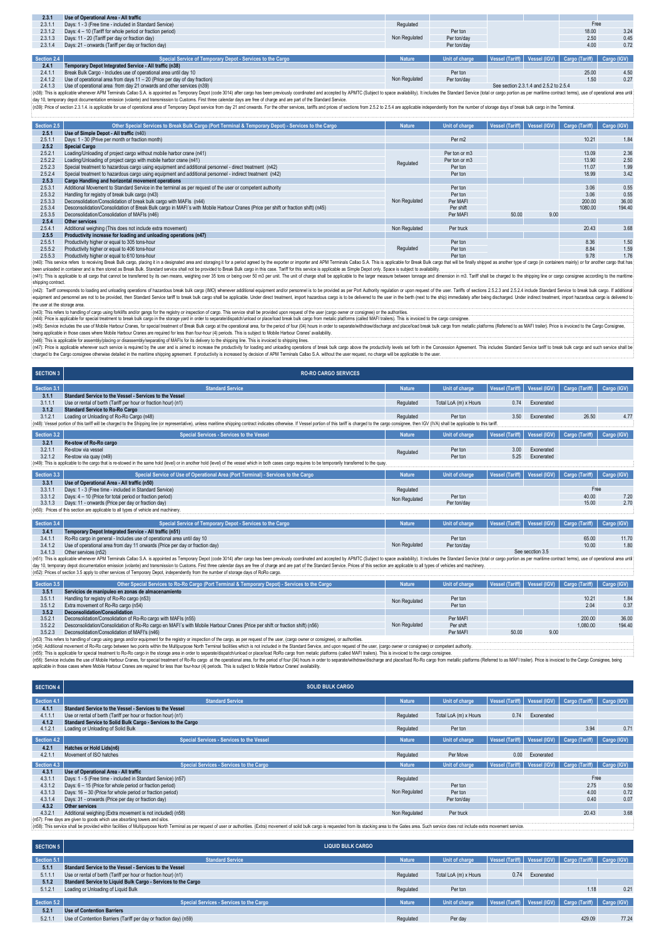| 2.3.1       | Use of Operational Area - All traffic                                     |                     |                |                                                               |       |      |
|-------------|---------------------------------------------------------------------------|---------------------|----------------|---------------------------------------------------------------|-------|------|
| 2.3.1.1     | Days: 1 - 3 (Free time - included in Standard Service)                    | Regulated           |                |                                                               | Free  |      |
| 2.3.1.2     | Days: 4 - 10 (Tariff for whole period or fraction period)                 |                     | Per ton        |                                                               | 18.00 | 3.24 |
| 2.3.1.3     | Days: 11 - 20 (Tariff per day or fraction day)                            | Non Regulated       | Per ton/day    |                                                               | 2.50  | 0.45 |
| 2.3.1.4     | Days: 21 - onwards (Tariff per day or fraction day)                       |                     | Per ton/day    |                                                               | 4.00  | 0.72 |
|             |                                                                           |                     |                |                                                               |       |      |
| Section 2.4 | Special Service of Temporary Depot - Services to the Cargo                | Nature <sup>1</sup> | Unit of charge | Vessel (Tariff)   Vessel (IGV)   Cargo (Tariff)   Cargo (IGV) |       |      |
| 2.4.1       | Temporary Depot Integrated Service - All traffic (n38)                    |                     |                |                                                               |       |      |
| 2.4.1.1     | Break Bulk Cargo - Includes use of operational area until day 10          |                     | Per ton        |                                                               | 25.00 | 4.50 |
| 24.1.2      | Use of operational area from days 11 - 20 (Price per day of day fraction) | Non Regulated       | Per ton/day    |                                                               | 1.50  | 0.27 |
| 2.4.1.3     | Use of operational area from day 21 onwards and other services (n39)      |                     |                | See section 2.3.1.4 and 2.5.2 to 2.5.4                        |       |      |

2.4.1.3 Use of operational area from day 21 onwards and other services (n39)<br>(n38): This is applicable when the Terminal Calls S.A. is appointed as Temporary Depti (code 3014) after cargo has been previously coordinated an

| Section 2.5 | Other Special Services to Break Bulk Cargo (Port Terminal & Temporary Depot) - Services to the Cargo                              | <b>Nature</b> | Unit of charge     | <b>Vessel (Tariff)</b> | Vessel (IGV) | Cargo (Tariff) | Cargo (IGV) |
|-------------|-----------------------------------------------------------------------------------------------------------------------------------|---------------|--------------------|------------------------|--------------|----------------|-------------|
| 2.5.1       | Use of Simple Depot - All traffic (n40)                                                                                           |               |                    |                        |              |                |             |
| 2.5.1.1     | Days: 1 - 30 (Prive per month or fraction month)                                                                                  |               | Per m <sub>2</sub> |                        |              | 10.21          | 1.84        |
| 2.5.2       | <b>Special Cargo</b>                                                                                                              |               |                    |                        |              |                |             |
| 2.5.2.1     | Loading/Unloading of project cargo without mobile harbor crane (n41)                                                              |               | Per ton or m3      |                        |              | 13.09          | 2.36        |
| 2.5.2.2     | Loading/Unloading of project cargo with mobile harbor crane (n41)                                                                 | Regulated     | Per ton or m3      |                        |              | 13.90          | 2.50        |
| 2.5.2.3     | Special treatment to hazardous cargo using equipment and additional personnel - direct treatment (n42)                            |               | Per ton            |                        |              | 11.07          | 1.99        |
| 2.5.2.4     | Special treatment to hazardous cargo using equipment and additional personnel - indirect treatment (n42)                          |               | Per ton            |                        |              | 18.99          | 3.42        |
| 2.5.3       | Cargo Handling and horizontal movement operations                                                                                 |               |                    |                        |              |                |             |
| 2.5.3.1     | Additional Movement to Standard Service in the terminal as per request of the user or competent authority                         |               | Per ton            |                        |              | 3.06           | 0.55        |
| 2.5.3.2     | Handling for registry of break bulk cargo (n43)                                                                                   |               | Per ton            |                        |              | 3.06           | 0.55        |
| 2.5.3.3     | Deconsolidation/Consolidation of break bulk cargo with MAFIs (n44)                                                                | Non Regulated | Per MAFI           |                        |              | 200.00         | 36.00       |
| 2.5.3.4     | Desconsolidation/Consolidation of Break Bulk cargo in MAFI's with Mobile Harbour Cranes (Price per shift or fraction shift) (n45) |               | Per shift          |                        |              | 1080.00        | 194.40      |
| 2.5.3.5     | Deconsolidation/Consolidation of MAFIs (n46)                                                                                      |               | Per MAFI           | 50.00                  | 9.00         |                |             |
| 2.5.4       | Other services                                                                                                                    |               |                    |                        |              |                |             |
| 2.5.4.1     | Additional weighing (This does not include extra movement)                                                                        | Non Regulated | Per truck          |                        |              | 20.43          | 3.68        |
| 2.5.5       | Productivity increase for loading and unloading operations (n47)                                                                  |               |                    |                        |              |                |             |
| 2.5.5.1     | Productivity higher or equal to 305 tons-hour                                                                                     |               | Per ton            |                        |              | 8.36           | 1.50        |
| 2.5.5.2     | Productivity higher or equal to 406 tons-hour                                                                                     | Regulated     | Per ton            |                        |              | 8.84           | 1.59        |
| 2.5.5.3     | Productivity higher or equal to 610 tons-hour                                                                                     |               | Per ton            |                        |              | 9.78           | 1.76        |

(n40): This service refers to receiving Break Bulk cargo, placing it and esignated area and storaging it for a period agreed by the exporter or importer and APM Terminals Callao S.A. This is applicable for Break Bulk cargo

shipping contract.<br>(n42): Tariff corresponds to loading and unloading operations of hazardous break bulk cargo (IMO) wheneve additional equipment and/or personnel is to be provided as per Port Authority regulation or upon 

(n45): Service includes the use of Mobile Harbour Cranes, for special treatment of Break Bulk cargo at the operational area, for the period of four (04) hours in order to separate/withdraw/discharge and place/load break bu (n43). This refers to hardling of cargo using of the mars for the realistry or inspection of cargo. This service shall be provided upon request of the using or consignee) or the authorities. This is under the authorities i

(n46): This is applicable for assembly/blacing or disassembly/separating of MAFIs for its delivery to the shipping line. This is invoiced to shipping lines.<br>(n47): Price is applicable and the production of the content of p

| <b>SECTION 3</b> | <b>RO-RO CARGO SERVICES</b>                                                                                                                                                                                                    |               |                       |                              |              |                |             |
|------------------|--------------------------------------------------------------------------------------------------------------------------------------------------------------------------------------------------------------------------------|---------------|-----------------------|------------------------------|--------------|----------------|-------------|
| Section 3.1      | <b>Standard Service</b>                                                                                                                                                                                                        | <b>Nature</b> | Unit of charge        | Vessel (Tariff)              | Vessel (IGV) | Cargo (Tariff) | Cargo (IGV) |
| 3.1.1            | Standard Service to the Vessel - Services to the Vessel                                                                                                                                                                        |               |                       |                              |              |                |             |
| 3.1.1.1          | Use or rental of berth (Tariff per hour or fraction hour) (n1)                                                                                                                                                                 | Regulated     | Total LoA (m) x Hours | 0.74                         | Exonerated   |                |             |
| 3.1.2            | <b>Standard Service to Ro-Ro Cargo</b>                                                                                                                                                                                         |               |                       |                              |              |                |             |
| 3.1.2.1          | Loading or Unloading of Ro-Ro Cargo (n48)                                                                                                                                                                                      | Regulated     | Per ton               | 3.50                         | Exonerated   | 26.50          | 4.77        |
|                  | (n48): Vessel portion of this tariff will be charged to the Shipping line (or representative), unless maritime shipping contract indicates otherwise. If Vessel portion of this tariff is charged to the cargo consignee, then |               |                       |                              |              |                |             |
| Section 3.2      | <b>Special Services - Services to the Vessel</b>                                                                                                                                                                               | <b>Nature</b> | Unit of charge        | Vessel (Tariff) Vessel (IGV) |              | Cargo (Tariff) | Cargo (IGV) |
| 3.2.1            | Re-stow of Ro-Ro cargo                                                                                                                                                                                                         |               |                       |                              |              |                |             |
| 3.2.1.1          | Re-stow via vessel                                                                                                                                                                                                             | Regulated     | Per ton               | 3.00                         | Exonerated   |                |             |
| 3.2.1.2          | Re-stow via quay (n49)                                                                                                                                                                                                         |               | Per ton               | 5.25                         | Exonerated   |                |             |
|                  | (n49): This is applicable to the cargo that is re-stowed in the same hold (level) or in another hold (level) of the vessel which in both cases cargo requires to be temporarily transferred to the quay                        |               |                       |                              |              |                |             |
| Section 3.3      | Special Service of Use of Operational Area (Port Terminal) - Services to the Cargo                                                                                                                                             | <b>Nature</b> | Unit of charge        | <b>Vessel (Tariff)</b>       | Vessel (IGV) | Cargo (Tariff) | Cargo (IGV) |
| 3.3.1            | Use of Operational Area - All traffic (n50)                                                                                                                                                                                    |               |                       |                              |              |                |             |
| 3.3.1.1          | Days: 1 - 3 (Free time - included in Standard Service)                                                                                                                                                                         | Regulated     |                       |                              |              | Free           |             |
| 3.3.1.2          | Days: 4 - 10 (Price for total period or fraction period)                                                                                                                                                                       | Non Regulated | Per ton               |                              |              | 40.00          | 7.20        |
| 3.3.1.3          | Days: 11 - onwards (Price per day or fraction day)                                                                                                                                                                             |               | Per ton/day           |                              |              | 15.00          | 2.70        |
|                  | (n50): Prices of this section are applicable to all types of vehicle and machinery.                                                                                                                                            |               |                       |                              |              |                |             |
|                  |                                                                                                                                                                                                                                |               |                       |                              |              |                |             |

| Section 3.4 | Special Service of Temporary Depot - Services to the Cargo                  | <b>Nature</b> | Unit of charge |                  | Vessel (Tariff)   Vessel (IGV)   Cargo (Tariff)   Cargo (IGV) |       |
|-------------|-----------------------------------------------------------------------------|---------------|----------------|------------------|---------------------------------------------------------------|-------|
| 3.4.1       | Temporary Depot Integrated Service - All traffic (n51)                      |               |                |                  |                                                               |       |
| 3.4.1.1     | Ro-Ro cargo in general - Includes use of operational area until day 10      |               | Per ton        |                  | 65.00                                                         | 11.70 |
| 3.4.1.2     | Use of operational area from day 11 onwards (Price per day or fraction day) | Non Regulated | Per ton/day    |                  | 10.00                                                         | 1.80  |
| 3.4.1.3     | Other services (n52)                                                        |               |                | See secction 3.5 |                                                               |       |

3.4.1.3 Other services (n52)<br>(n51): This is applicable whenever APM Terminals Callao S.A. is appointed as Temporary Depot (code 3014) after cargo has been previously coordinated and accepted by APMTC (Subject to space avai

| Section 3.5 | Other Special Services to Ro-Ro Cargo (Port Terminal & Temporary Depot) - Services to the Cargo                                                                                                                                | <b>Nature</b> | Unit of charge |       |      | Vessel (Tariff) Vessel (IGV) Cargo (Tariff) Cargo (IGV) |        |
|-------------|--------------------------------------------------------------------------------------------------------------------------------------------------------------------------------------------------------------------------------|---------------|----------------|-------|------|---------------------------------------------------------|--------|
| 3.5.1       | Servicios de manipuleo en zonas de almacenamiento                                                                                                                                                                              |               |                |       |      |                                                         |        |
| 3.5.1.1     | Handling for registry of Ro-Ro cargo (n53)                                                                                                                                                                                     | Non Regulated | Per ton        |       |      | 10.21                                                   | 1.84   |
| 3.5.1.2     | Extra movement of Ro-Ro cargo (n54)                                                                                                                                                                                            |               | Per ton        |       |      | 2.04                                                    | 0.37   |
| 3.5.2       | Deconsolidation/Consolidation                                                                                                                                                                                                  |               |                |       |      |                                                         |        |
| 3.5.2.1     | Deconsolidation/Consolidation of Ro-Ro cargo with MAFIs (n55)                                                                                                                                                                  |               | Per MAFI       |       |      | 200.00                                                  | 36.00  |
| 3.5.2.2     | Desconsolidation/Consolidation of Ro-Ro cargo en MAFI's with Mobile Harbour Cranes (Price per shift or fraction shift) (n56)                                                                                                   | Non Regulated | Per shift      |       |      | 1.080.00                                                | 194.40 |
| 3.5.2.3     | Deconsolidation/Consolidation of MAFI's (n46)                                                                                                                                                                                  |               | Per MAFI       | 50.00 | 9.00 |                                                         |        |
|             | (45%). This solars to boudling of corresponding angles angles angles the scalator or inconstitue of the corresponding of the corresponding of the corresponding corresponding as a construent of angles of the corresponding t |               |                |       |      |                                                         |        |

(n54). Additional movement of G-Ro cargo betwen two points with the Multipupose North Terminal facilities mich is not movement of personand Service, and upon request of the user, (cargo owner or consignee) or comprent auth (n53) :This refers to handling of cargo using gangs and/or equipment for the registry or inspection of the cargo, as per request of the user, (cargo owner or consignee), or authorities.

(n5b): Service indudes the use of Mobile Harbour Cranes, for special treatment of Ro-Ro cargo at the operational area, for the period of form (A) hours in order to separate/withdraw/discharge and place/bad hole-back partic

| <b>SECTION 4</b> | <b>SOLID BULK CARGO</b>                                                   |               |                       |                 |              |                                                               |             |
|------------------|---------------------------------------------------------------------------|---------------|-----------------------|-----------------|--------------|---------------------------------------------------------------|-------------|
| Section 4.1      | <b>Standard Service</b>                                                   | <b>Nature</b> | Unit of charge        | Vessel (Tariff) |              | Vessel (IGV) Cargo (Tariff)                                   | Cargo (IGV) |
| 4.1.1            | Standard Service to the Vessel - Services to the Vessel                   |               |                       |                 |              |                                                               |             |
| 4.1.1.1          | Use or rental of berth (Tariff per hour or fraction hour) (n1)            | Regulated     | Total LoA (m) x Hours | 0.74            | Exonerated   |                                                               |             |
| 4.1.2            | Standard Service to Solid Bulk Cargo - Services to the Cargo              |               |                       |                 |              |                                                               |             |
| 4.1.2.1          | Loading or Unloading of Solid Bulk                                        | Regulated     | Per ton               |                 |              | 3.94                                                          | 0.71        |
| Section 4.2      | <b>Special Services - Services to the Vessel</b>                          | <b>Nature</b> | Unit of charge        | Vessel (Tariff) | Vessel (IGV) | Cargo (Tariff)                                                | Cargo (IGV) |
| 4.2.1            | <b>Hatches or Hold Lids(n6)</b>                                           |               |                       |                 |              |                                                               |             |
| 4.2.1.1          | Movement of ISO hatches                                                   | Regulated     | Per Move              | 0.00            | Exonerated   |                                                               |             |
| Section 4.3      | <b>Special Services - Services to the Cargo</b>                           | <b>Nature</b> | Unit of charge        |                 |              | Vessel (Tariff)   Vessel (IGV)   Cargo (Tariff)   Cargo (IGV) |             |
| 4.3.1            | Use of Operational Area - All traffic                                     |               |                       |                 |              |                                                               |             |
| 4.3.1.1          | Days: 1 - 5 (Free time - included in Standard Service) (n57)              | Regulated     |                       |                 |              | Free                                                          |             |
| 4.3.1.2          | Days: 6 - 15 (Price for whole period or fraction period)                  |               | Per ton               |                 |              | 2.75                                                          | 0.50        |
| 4.3.1.3          | Days: 16 - 30 (Price for whole period or fraction period)                 | Non Regulated | Per ton               |                 |              | 4.00                                                          | 0.72        |
| 4.3.1.4          | Days: 31 - onwards (Price per day or fraction day)                        |               | Per ton/day           |                 |              | 0.40                                                          | 0.07        |
| 4.3.2            | Other services                                                            |               |                       |                 |              |                                                               |             |
| 4.3.2.1          | Additional weighing (Extra movement is not included) (n58)                | Non Regulated | Per truck             |                 |              | 20.43                                                         | 3.68        |
|                  | (n57): Free days are given to goods which use absorbing towers and silos. |               |                       |                 |              |                                                               |             |

(n57): Free days are given to goods which use absoting towers and silos.<br>(n58): This service shall be provided within facilities of Multipurose North Terminal as per request of user or authorities. (Extra) movement shall b

| SECTION 5   | <b>LIQUID BULK CARGO</b>                                          |               |                       |      |            |                                                               |       |
|-------------|-------------------------------------------------------------------|---------------|-----------------------|------|------------|---------------------------------------------------------------|-------|
| Section 5.1 | <b>Standard Service</b>                                           | <b>Nature</b> | Unit of charge        |      |            | Vessel (Tariff)   Vessel (IGV)   Cargo (Tariff)   Cargo (IGV) |       |
| 5.1.1       | Standard Service to the Vessel - Services to the Vessel           |               |                       |      |            |                                                               |       |
| 5.1.1.1     | Use or rental of berth (Tariff per hour or fraction hour) (n1)    | Regulated     | Total LoA (m) x Hours | 0.74 | Exonerated |                                                               |       |
| 5.1.2       | Standard Service to Liquid Bulk Cargo - Services to the Cargo     |               |                       |      |            |                                                               |       |
| 5.1.2.1     | Loading or Unloading of Liquid Bulk                               | Regulated     | Per ton               |      |            | 1.18                                                          | 0.21  |
|             |                                                                   |               |                       |      |            |                                                               |       |
| Section 5.2 | Special Services - Services to the Cargo                          | <b>Nature</b> | Unit of charge        |      |            | Vessel (Tariff) Vessel (IGV) Cargo (Tariff) Cargo (IGV)       |       |
| 5.2.1       | <b>Use of Contention Barriers</b>                                 |               |                       |      |            |                                                               |       |
| 5.2.1.1     | Use of Contention Barriers (Tariff per day or fraction day) (n59) | Regulated     | Per day               |      |            | 429.09                                                        | 77.24 |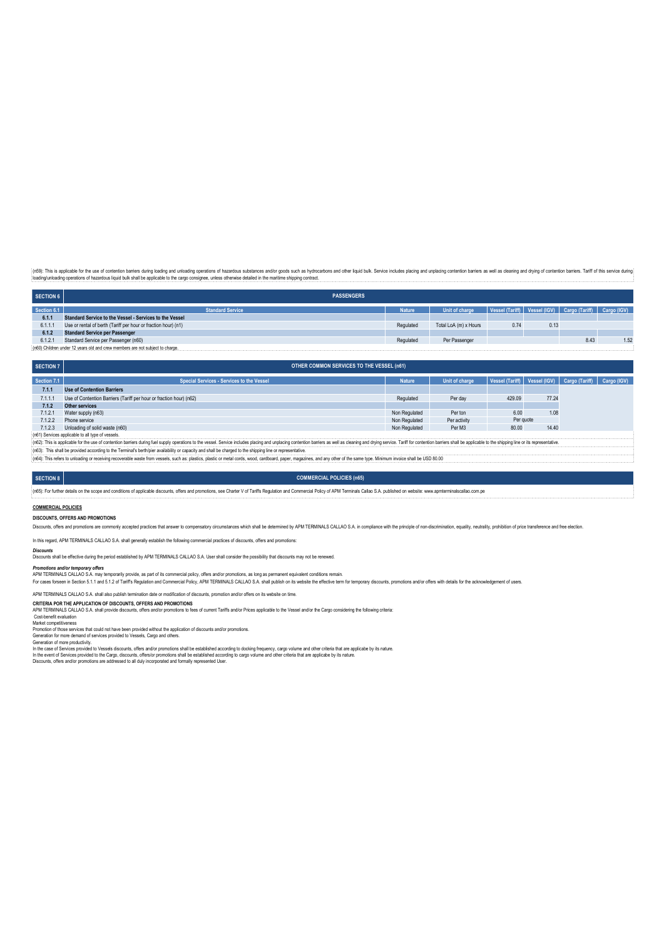(n59): This applicable for the use of contention barriers during loading and unloading operations of hazardous substances and/orgots such as hydrocarbors and other liquid bulk. Service includes placing contention among one

| SECTION 6                                                                     | <b>PASSENGERS</b>                                              |               |                       |                                                         |      |      |      |  |  |
|-------------------------------------------------------------------------------|----------------------------------------------------------------|---------------|-----------------------|---------------------------------------------------------|------|------|------|--|--|
| Section 6.1                                                                   | <b>Standard Service</b>                                        | <b>Nature</b> | Unit of charge        | Vessel (Tariff) Vessel (IGV) Cargo (Tariff) Cargo (IGV) |      |      |      |  |  |
| 6.1.1                                                                         | Standard Service to the Vessel - Services to the Vessel        |               |                       |                                                         |      |      |      |  |  |
| 6.1.1                                                                         | Use or rental of berth (Tariff per hour or fraction hour) (n1) | Regulated     | Total LoA (m) x Hours | 0.74                                                    | 0.13 |      |      |  |  |
| 6.1.2                                                                         | <b>Standard Service per Passenger</b>                          |               |                       |                                                         |      |      |      |  |  |
| 6.1.2.1                                                                       | Standard Service per Passenger (n60)                           | Regulated     | Per Passenger         |                                                         |      | 8.43 | 1.52 |  |  |
| (n60) Children under 12 years old and crew members are not subject to charge. |                                                                |               |                       |                                                         |      |      |      |  |  |

| <b>SECTION 7</b>                                                                                                                                                                                                               | <b>OTHER COMMON SERVICES TO THE VESSEL (n61)</b>                    |               |                    |           |       |                                                         |  |  |  |  |
|--------------------------------------------------------------------------------------------------------------------------------------------------------------------------------------------------------------------------------|---------------------------------------------------------------------|---------------|--------------------|-----------|-------|---------------------------------------------------------|--|--|--|--|
| Section 7.1                                                                                                                                                                                                                    | <b>Special Services - Services to the Vessel</b>                    | <b>Nature</b> | Unit of charge     |           |       | Vessel (Tariff) Vessel (IGV) Cargo (Tariff) Cargo (IGV) |  |  |  |  |
| 7.1.1                                                                                                                                                                                                                          | <b>Use of Contention Barriers</b>                                   |               |                    |           |       |                                                         |  |  |  |  |
| 7.1.1.                                                                                                                                                                                                                         | Use of Contention Barriers (Tariff per hour or fraction hour) (n62) | Regulated     | Per day            | 429.09    | 77.24 |                                                         |  |  |  |  |
| 7.1.2                                                                                                                                                                                                                          | Other services                                                      |               |                    |           |       |                                                         |  |  |  |  |
| 7.1.2.1                                                                                                                                                                                                                        | Water supply (n63)                                                  | Non Regulated | Per ton            | 6.00      | 1.08  |                                                         |  |  |  |  |
| 7.1.2.2                                                                                                                                                                                                                        | Phone service                                                       | Non Regulated | Per activity       | Per quote |       |                                                         |  |  |  |  |
| 7.1.2.3                                                                                                                                                                                                                        | Unloading of solid waste (n60)                                      | Non Regulated | Per M <sub>3</sub> | 80.00     | 14.40 |                                                         |  |  |  |  |
| i(n61) Services applicable to all type of vessels.                                                                                                                                                                             |                                                                     |               |                    |           |       |                                                         |  |  |  |  |
| (n62): This is applicable for the use of contention barriers during fuel supply operations to the vessel. Service includes placing and unplacing contention barriers as well as cleaning and drying service. Tariff for conten |                                                                     |               |                    |           |       |                                                         |  |  |  |  |
| (n63): This shall be provided according to the Terminal's berth/pier availability or capacity and shall be charged to the shipping line or representative.                                                                     |                                                                     |               |                    |           |       |                                                         |  |  |  |  |
| (n64): This refers to unloading or receiving recoverable waste from vessels, such as: plastics, plastic or metal cords, wood, cardboard, paper, magazines, and any other of the same type. Minimum invoice shall be USD 80.00  |                                                                     |               |                    |           |       |                                                         |  |  |  |  |
|                                                                                                                                                                                                                                |                                                                     |               |                    |           |       |                                                         |  |  |  |  |

### **SECTION 8**

**COMMERCIAL POLICIES (n65)**

(n65): For further details on the scope and conditions of applicable discounts, offers and promotions, see Charter V of Tariffs Regulation and Commercial Policy of APM Terminals Callao S.A. published on website: www.apmter

### **COMMERCIAL POLICIES**

### **DISCOUNTS, OFFERS AND PROMOTIONS**

Discounts, offers and promotions are commonly accepted practices that answer to compensatory circumstances which shall be determined by APM TERMINALS CALLAO S.A. in compliance with the principle of non-discrimination, equa

In this regard, APM TERMINALS CALLAO S.A. shall generally establish the following commercial practices of discounts, offers and promotions:

*Discounts* Discounts shall be effective during the period established by APM TERMINALS CALLAO S.A. User shall consider the possibility that discounts may not be renewed.

Promotions and/or temporary offers<br>APM TERMINALS CALLAO SA. may temporarily provide, as part of its commercial policy, offers and/or promotions, as long as permanent equivalent conditions remain.<br>For cases forseen in Secti

## APM TERMINALS CALLAO S.A. shall also publish termination date or modification of discounts, promotion and/or offers on its website on time.

CRITERIA POR THE APPLICATION OF DISCOUNTS, OFFERS AND PROMOTIONS<br>APM TERMINALS CALLAO S.A. shall provide discounts, offers and/or promotions to fees of current Tariffs and/or Prices applicable to the Vessel and/or the Carg

In the case of Services provided to Vessels discounts, offers and/or promotions shall be established according to docking frequency, cargo volume and other criteria that are applicabe by its nature.<br>In the event of Service